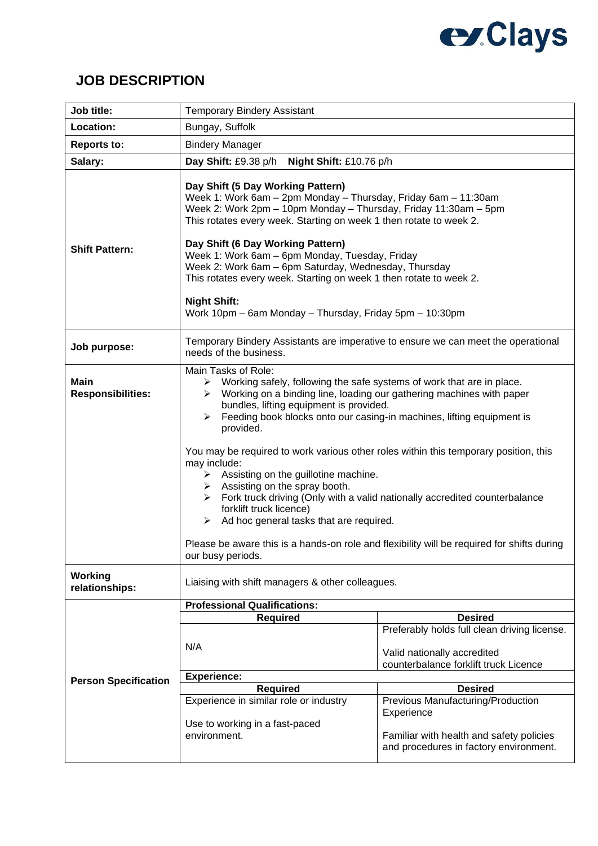## **exClays**

## **JOB DESCRIPTION**

| Job title:                              | <b>Temporary Bindery Assistant</b>                                                                                                                                                                                                                                                                                                                                                                                                                                                                                                                                                                                                                                                                                                                                                                                                                           |                                                                                                                                        |
|-----------------------------------------|--------------------------------------------------------------------------------------------------------------------------------------------------------------------------------------------------------------------------------------------------------------------------------------------------------------------------------------------------------------------------------------------------------------------------------------------------------------------------------------------------------------------------------------------------------------------------------------------------------------------------------------------------------------------------------------------------------------------------------------------------------------------------------------------------------------------------------------------------------------|----------------------------------------------------------------------------------------------------------------------------------------|
| Location:                               | Bungay, Suffolk                                                                                                                                                                                                                                                                                                                                                                                                                                                                                                                                                                                                                                                                                                                                                                                                                                              |                                                                                                                                        |
| <b>Reports to:</b>                      | <b>Bindery Manager</b>                                                                                                                                                                                                                                                                                                                                                                                                                                                                                                                                                                                                                                                                                                                                                                                                                                       |                                                                                                                                        |
| Salary:                                 | Day Shift: £9.38 p/h<br>Night Shift: £10.76 p/h                                                                                                                                                                                                                                                                                                                                                                                                                                                                                                                                                                                                                                                                                                                                                                                                              |                                                                                                                                        |
| <b>Shift Pattern:</b>                   | Day Shift (5 Day Working Pattern)<br>Week 1: Work 6am - 2pm Monday - Thursday, Friday 6am - 11:30am<br>Week 2: Work 2pm - 10pm Monday - Thursday, Friday 11:30am - 5pm<br>This rotates every week. Starting on week 1 then rotate to week 2.<br>Day Shift (6 Day Working Pattern)<br>Week 1: Work 6am - 6pm Monday, Tuesday, Friday<br>Week 2: Work 6am - 6pm Saturday, Wednesday, Thursday<br>This rotates every week. Starting on week 1 then rotate to week 2.<br><b>Night Shift:</b><br>Work 10pm - 6am Monday - Thursday, Friday 5pm - 10:30pm                                                                                                                                                                                                                                                                                                          |                                                                                                                                        |
| Job purpose:                            | Temporary Bindery Assistants are imperative to ensure we can meet the operational<br>needs of the business.                                                                                                                                                                                                                                                                                                                                                                                                                                                                                                                                                                                                                                                                                                                                                  |                                                                                                                                        |
| <b>Main</b><br><b>Responsibilities:</b> | Main Tasks of Role:<br>$\triangleright$ Working safely, following the safe systems of work that are in place.<br>Working on a binding line, loading our gathering machines with paper<br>➤<br>bundles, lifting equipment is provided.<br>Feeding book blocks onto our casing-in machines, lifting equipment is<br>➤<br>provided.<br>You may be required to work various other roles within this temporary position, this<br>may include:<br>$\triangleright$ Assisting on the guillotine machine.<br>$\triangleright$ Assisting on the spray booth.<br>$\triangleright$ Fork truck driving (Only with a valid nationally accredited counterbalance<br>forklift truck licence)<br>$\triangleright$ Ad hoc general tasks that are required.<br>Please be aware this is a hands-on role and flexibility will be required for shifts during<br>our busy periods. |                                                                                                                                        |
| <b>Working</b>                          |                                                                                                                                                                                                                                                                                                                                                                                                                                                                                                                                                                                                                                                                                                                                                                                                                                                              |                                                                                                                                        |
| relationships:                          | Liaising with shift managers & other colleagues.                                                                                                                                                                                                                                                                                                                                                                                                                                                                                                                                                                                                                                                                                                                                                                                                             |                                                                                                                                        |
| <b>Person Specification</b>             | <b>Professional Qualifications:</b><br><b>Required</b><br>N/A                                                                                                                                                                                                                                                                                                                                                                                                                                                                                                                                                                                                                                                                                                                                                                                                | <b>Desired</b><br>Preferably holds full clean driving license.<br>Valid nationally accredited<br>counterbalance forklift truck Licence |
|                                         | <b>Experience:</b>                                                                                                                                                                                                                                                                                                                                                                                                                                                                                                                                                                                                                                                                                                                                                                                                                                           |                                                                                                                                        |
|                                         | <b>Required</b>                                                                                                                                                                                                                                                                                                                                                                                                                                                                                                                                                                                                                                                                                                                                                                                                                                              | <b>Desired</b>                                                                                                                         |
|                                         | Experience in similar role or industry<br>Use to working in a fast-paced<br>environment.                                                                                                                                                                                                                                                                                                                                                                                                                                                                                                                                                                                                                                                                                                                                                                     | Previous Manufacturing/Production<br>Experience<br>Familiar with health and safety policies<br>and procedures in factory environment.  |